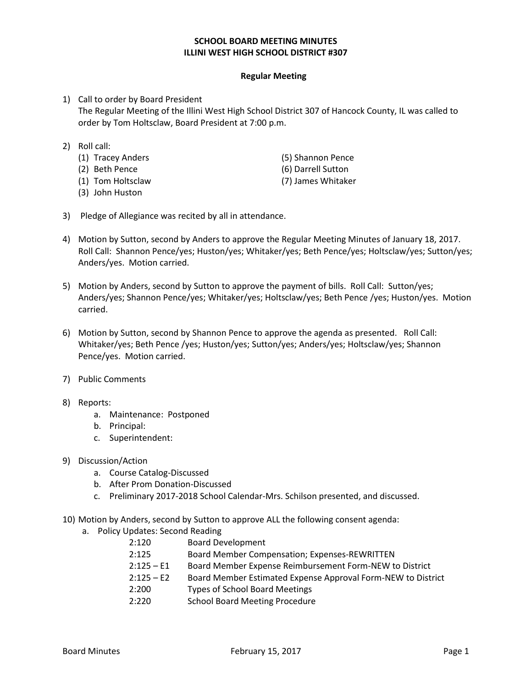## **SCHOOL BOARD MEETING MINUTES ILLINI WEST HIGH SCHOOL DISTRICT #307**

## **Regular Meeting**

- 1) Call to order by Board President The Regular Meeting of the Illini West High School District 307 of Hancock County, IL was called to order by Tom Holtsclaw, Board President at 7:00 p.m.
- 2) Roll call:
	- (1) Tracey Anders (5) Shannon Pence
	- (2) Beth Pence (6) Darrell Sutton
	- (1) Tom Holtsclaw (7) James Whitaker
	- (3) John Huston
- 
- 
- 3) Pledge of Allegiance was recited by all in attendance.
- 4) Motion by Sutton, second by Anders to approve the Regular Meeting Minutes of January 18, 2017. Roll Call: Shannon Pence/yes; Huston/yes; Whitaker/yes; Beth Pence/yes; Holtsclaw/yes; Sutton/yes; Anders/yes. Motion carried.
- 5) Motion by Anders, second by Sutton to approve the payment of bills. Roll Call: Sutton/yes; Anders/yes; Shannon Pence/yes; Whitaker/yes; Holtsclaw/yes; Beth Pence /yes; Huston/yes. Motion carried.
- 6) Motion by Sutton, second by Shannon Pence to approve the agenda as presented. Roll Call: Whitaker/yes; Beth Pence /yes; Huston/yes; Sutton/yes; Anders/yes; Holtsclaw/yes; Shannon Pence/yes. Motion carried.
- 7) Public Comments
- 8) Reports:
	- a. Maintenance: Postponed
	- b. Principal:
	- c. Superintendent:
- 9) Discussion/Action
	- a. Course Catalog-Discussed
	- b. After Prom Donation-Discussed
	- c. Preliminary 2017-2018 School Calendar-Mrs. Schilson presented, and discussed.
- 10) Motion by Anders, second by Sutton to approve ALL the following consent agenda:
	- a. Policy Updates: Second Reading
		- 2:120 Board Development
		- 2:125 Board Member Compensation; Expenses-REWRITTEN
		- 2:125 E1 Board Member Expense Reimbursement Form-NEW to District
		- 2:125 E2 Board Member Estimated Expense Approval Form-NEW to District
		- 2:200 Types of School Board Meetings
		- 2:220 School Board Meeting Procedure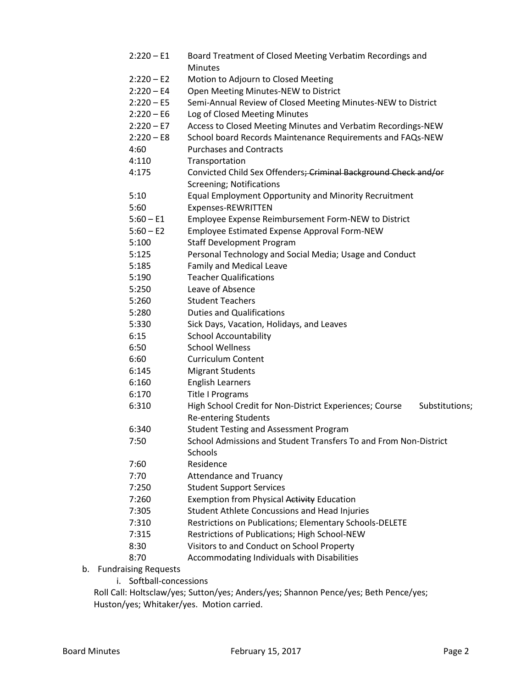- 2:220 E1 Board Treatment of Closed Meeting Verbatim Recordings and **Minutes** 2:220 – E2 Motion to Adjourn to Closed Meeting 2:220 – E4 Open Meeting Minutes-NEW to District 2:220 – E5 Semi-Annual Review of Closed Meeting Minutes-NEW to District 2:220 – E6 Log of Closed Meeting Minutes 2:220 – E7 Access to Closed Meeting Minutes and Verbatim Recordings-NEW 2:220 – E8 School board Records Maintenance Requirements and FAQs-NEW 4:60 Purchases and Contracts 4:110 Transportation 4:175 Convicted Child Sex Offenders; Criminal Background Check and/or Screening; Notifications 5:10 Equal Employment Opportunity and Minority Recruitment 5:60 Expenses-REWRITTEN 5:60 – E1 Employee Expense Reimbursement Form-NEW to District 5:60 – E2 Employee Estimated Expense Approval Form-NEW 5:100 Staff Development Program 5:125 Personal Technology and Social Media; Usage and Conduct 5:185 Family and Medical Leave 5:190 Teacher Qualifications 5:250 Leave of Absence 5:260 Student Teachers 5:280 Duties and Qualifications 5:330 Sick Days, Vacation, Holidays, and Leaves 6:15 School Accountability 6:50 School Wellness 6:60 Curriculum Content 6:145 Migrant Students 6:160 English Learners 6:170 Title I Programs 6:310 High School Credit for Non-District Experiences; Course Substitutions; Re-entering Students 6:340 Student Testing and Assessment Program 7:50 School Admissions and Student Transfers To and From Non-District **Schools** 7:60 Residence 7:70 Attendance and Truancy 7:250 Student Support Services 7:260 Exemption from Physical Activity Education 7:305 Student Athlete Concussions and Head Injuries 7:310 Restrictions on Publications; Elementary Schools-DELETE 7:315 Restrictions of Publications; High School-NEW 8:30 Visitors to and Conduct on School Property 8:70 Accommodating Individuals with Disabilities b. Fundraising Requests
	- i. Softball-concessions

Roll Call: Holtsclaw/yes; Sutton/yes; Anders/yes; Shannon Pence/yes; Beth Pence/yes; Huston/yes; Whitaker/yes. Motion carried.